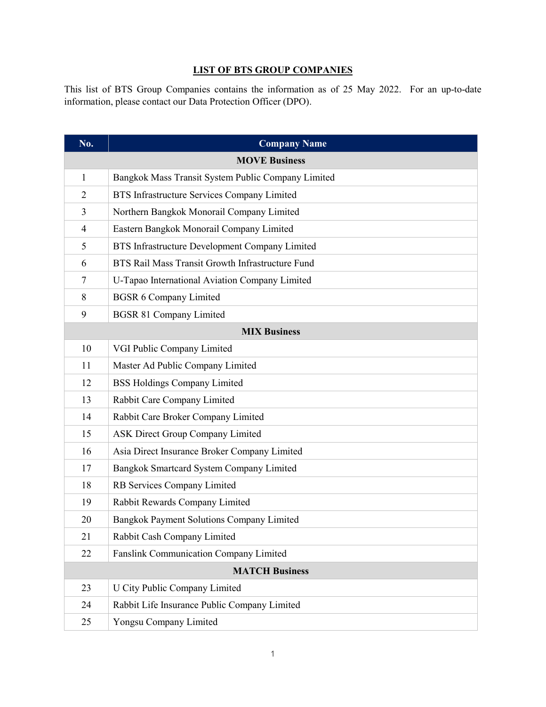## **LIST OF BTS GROUP COMPANIES**

This list of BTS Group Companies contains the information as of 25 May 2022. For an up-to-date information, please contact our Data Protection Officer (DPO).

| No.                   | <b>Company Name</b>                                |  |
|-----------------------|----------------------------------------------------|--|
|                       | <b>MOVE Business</b>                               |  |
| 1                     | Bangkok Mass Transit System Public Company Limited |  |
| $\overline{2}$        | BTS Infrastructure Services Company Limited        |  |
| 3                     | Northern Bangkok Monorail Company Limited          |  |
| $\overline{4}$        | Eastern Bangkok Monorail Company Limited           |  |
| 5                     | BTS Infrastructure Development Company Limited     |  |
| 6                     | BTS Rail Mass Transit Growth Infrastructure Fund   |  |
| 7                     | U-Tapao International Aviation Company Limited     |  |
| 8                     | <b>BGSR 6 Company Limited</b>                      |  |
| 9                     | <b>BGSR 81 Company Limited</b>                     |  |
|                       | <b>MIX Business</b>                                |  |
| 10                    | VGI Public Company Limited                         |  |
| 11                    | Master Ad Public Company Limited                   |  |
| 12                    | <b>BSS Holdings Company Limited</b>                |  |
| 13                    | Rabbit Care Company Limited                        |  |
| 14                    | Rabbit Care Broker Company Limited                 |  |
| 15                    | <b>ASK Direct Group Company Limited</b>            |  |
| 16                    | Asia Direct Insurance Broker Company Limited       |  |
| 17                    | Bangkok Smartcard System Company Limited           |  |
| 18                    | RB Services Company Limited                        |  |
| 19                    | Rabbit Rewards Company Limited                     |  |
| 20                    | Bangkok Payment Solutions Company Limited          |  |
| 21                    | Rabbit Cash Company Limited                        |  |
| 22                    | Fanslink Communication Company Limited             |  |
| <b>MATCH Business</b> |                                                    |  |
| 23                    | U City Public Company Limited                      |  |
| 24                    | Rabbit Life Insurance Public Company Limited       |  |
| 25                    | Yongsu Company Limited                             |  |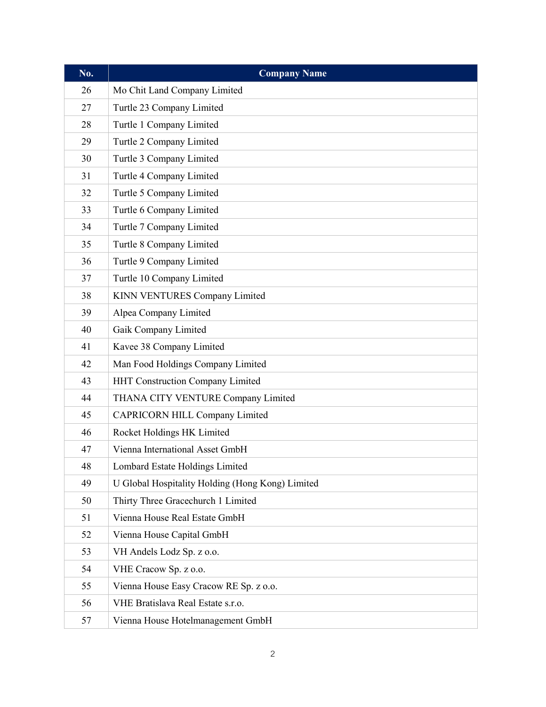| $\overline{\text{No}}$ . | <b>Company Name</b>                              |
|--------------------------|--------------------------------------------------|
| 26                       | Mo Chit Land Company Limited                     |
| 27                       | Turtle 23 Company Limited                        |
| 28                       | Turtle 1 Company Limited                         |
| 29                       | Turtle 2 Company Limited                         |
| 30                       | Turtle 3 Company Limited                         |
| 31                       | Turtle 4 Company Limited                         |
| 32                       | Turtle 5 Company Limited                         |
| 33                       | Turtle 6 Company Limited                         |
| 34                       | Turtle 7 Company Limited                         |
| 35                       | Turtle 8 Company Limited                         |
| 36                       | Turtle 9 Company Limited                         |
| 37                       | Turtle 10 Company Limited                        |
| 38                       | KINN VENTURES Company Limited                    |
| 39                       | Alpea Company Limited                            |
| 40                       | Gaik Company Limited                             |
| 41                       | Kavee 38 Company Limited                         |
| 42                       | Man Food Holdings Company Limited                |
| 43                       | HHT Construction Company Limited                 |
| 44                       | THANA CITY VENTURE Company Limited               |
| 45                       | <b>CAPRICORN HILL Company Limited</b>            |
| 46                       | Rocket Holdings HK Limited                       |
| 47                       | Vienna International Asset GmbH                  |
| 48                       | Lombard Estate Holdings Limited                  |
| 49                       | U Global Hospitality Holding (Hong Kong) Limited |
| 50                       | Thirty Three Gracechurch 1 Limited               |
| 51                       | Vienna House Real Estate GmbH                    |
| 52                       | Vienna House Capital GmbH                        |
| 53                       | VH Andels Lodz Sp. z o.o.                        |
| 54                       | VHE Cracow Sp. z o.o.                            |
| 55                       | Vienna House Easy Cracow RE Sp. z o.o.           |
| 56                       | VHE Bratislava Real Estate s.r.o.                |
| 57                       | Vienna House Hotelmanagement GmbH                |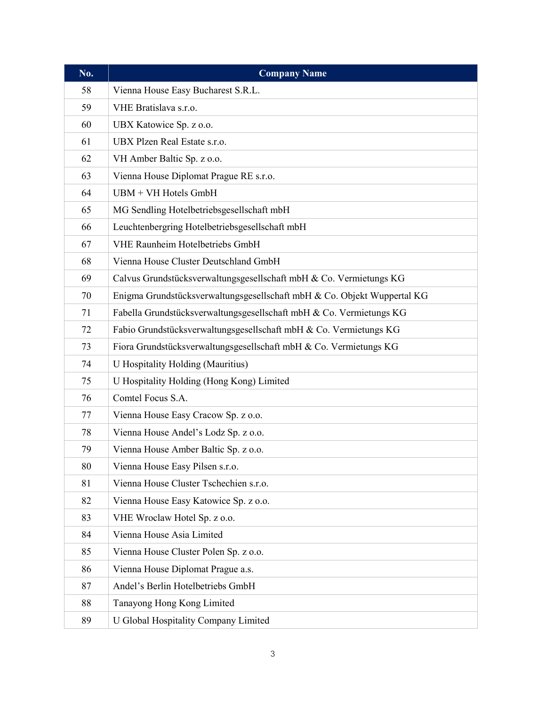| No. | <b>Company Name</b>                                                     |
|-----|-------------------------------------------------------------------------|
| 58  | Vienna House Easy Bucharest S.R.L.                                      |
| 59  | VHE Bratislava s.r.o.                                                   |
| 60  | UBX Katowice Sp. z o.o.                                                 |
| 61  | UBX Plzen Real Estate s.r.o.                                            |
| 62  | VH Amber Baltic Sp. z o.o.                                              |
| 63  | Vienna House Diplomat Prague RE s.r.o.                                  |
| 64  | UBM + VH Hotels GmbH                                                    |
| 65  | MG Sendling Hotelbetriebsgesellschaft mbH                               |
| 66  | Leuchtenbergring Hotelbetriebsgesellschaft mbH                          |
| 67  | VHE Raunheim Hotelbetriebs GmbH                                         |
| 68  | Vienna House Cluster Deutschland GmbH                                   |
| 69  | Calvus Grundstücksverwaltungsgesellschaft mbH & Co. Vermietungs KG      |
| 70  | Enigma Grundstücksverwaltungsgesellschaft mbH & Co. Objekt Wuppertal KG |
| 71  | Fabella Grundstücksverwaltungsgesellschaft mbH & Co. Vermietungs KG     |
| 72  | Fabio Grundstücksverwaltungsgesellschaft mbH & Co. Vermietungs KG       |
| 73  | Fiora Grundstücksverwaltungsgesellschaft mbH & Co. Vermietungs KG       |
| 74  | U Hospitality Holding (Mauritius)                                       |
| 75  | U Hospitality Holding (Hong Kong) Limited                               |
| 76  | Comtel Focus S.A.                                                       |
| 77  | Vienna House Easy Cracow Sp. z o.o.                                     |
| 78  | Vienna House Andel's Lodz Sp. z o.o.                                    |
| 79  | Vienna House Amber Baltic Sp. z o.o.                                    |
| 80  | Vienna House Easy Pilsen s.r.o.                                         |
| 81  | Vienna House Cluster Tschechien s.r.o.                                  |
| 82  | Vienna House Easy Katowice Sp. z o.o.                                   |
| 83  | VHE Wroclaw Hotel Sp. z o.o.                                            |
| 84  | Vienna House Asia Limited                                               |
| 85  | Vienna House Cluster Polen Sp. z o.o.                                   |
| 86  | Vienna House Diplomat Prague a.s.                                       |
| 87  | Andel's Berlin Hotelbetriebs GmbH                                       |
| 88  | Tanayong Hong Kong Limited                                              |
| 89  | U Global Hospitality Company Limited                                    |